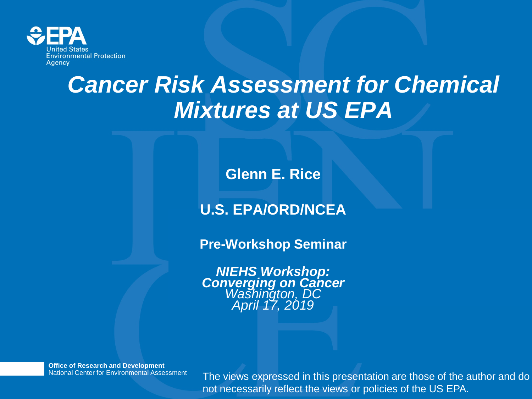

## *Cancer Risk Assessment for Chemical Mixtures at US EPA*

**Glenn E. Rice**

### **U.S. EPA/ORD/NCEA**

**Pre-Workshop Seminar**

*NIEHS Workshop: Converging on Cancer Washington, DC April 17, 2019*

**Office of Research and Development** National Center for Environmental Assessment

The views expressed in this presentation are those of the author and do not necessarily reflect the views or policies of the US EPA.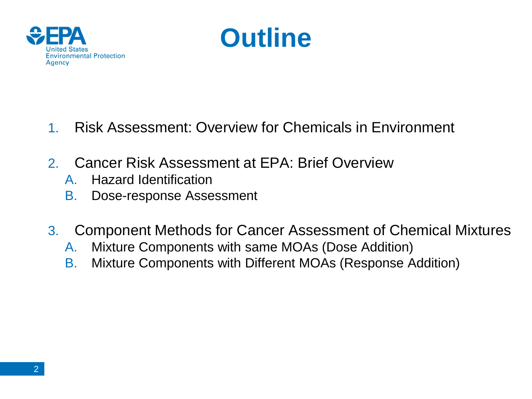



- 1. Risk Assessment: Overview for Chemicals in Environment
- 2. Cancer Risk Assessment at EPA: Brief Overview
	- A. Hazard Identification
	- B. Dose-response Assessment
- 3. Component Methods for Cancer Assessment of Chemical Mixtures
	- A. Mixture Components with same MOAs (Dose Addition)
	- B. Mixture Components with Different MOAs (Response Addition)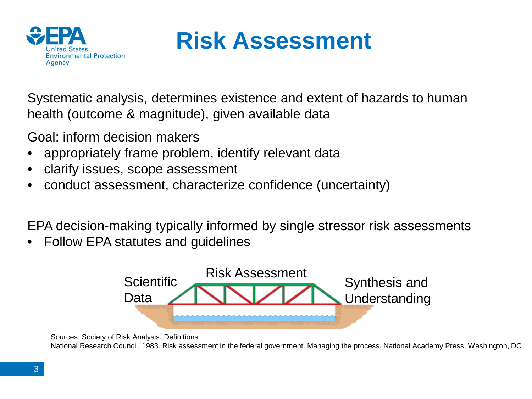

## **Risk Assessment**

Systematic analysis, determines existence and extent of hazards to human health (outcome & magnitude), given available data

Goal: inform decision makers

- appropriately frame problem, identify relevant data
- clarify issues, scope assessment
- conduct assessment, characterize confidence (uncertainty)

EPA decision-making typically informed by single stressor risk assessments

• Follow EPA statutes and guidelines



Sources: Society of Risk Analysis. Definitions

National Research Council. 1983. Risk assessment in the federal government. Managing the process. National Academy Press, Washington, DC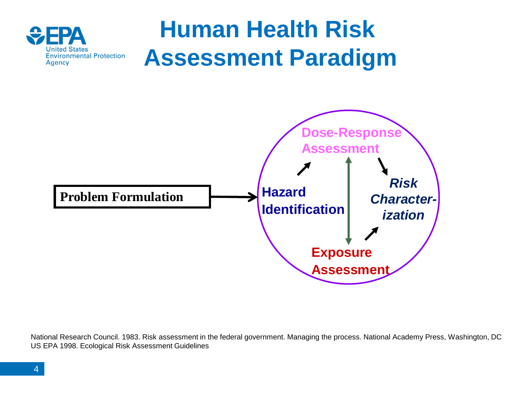

National Research Council. 1983. Risk assessment in the federal government. Managing the process. National Academy Press, Washington, DC US EPA 1998. Ecological Risk Assessment Guidelines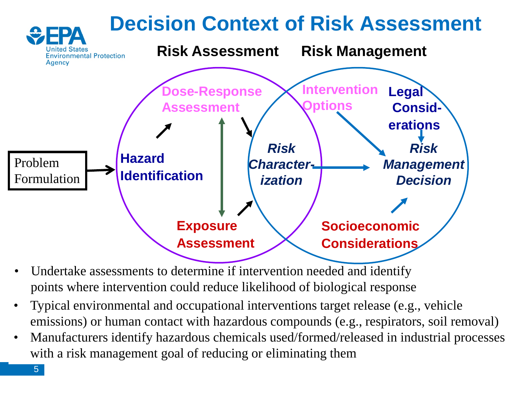#### **Decision Context of Risk Assessment Risk Assessment Risk Management Environmental Protection Agency Intervention Legal Dose-Response Options Assessment Considerations** *Risk Risk* **Hazard** Problem *Character-Management* **Identification** Formulation *ization Decision* **Socioeconomic Exposure Assessment Considerations**

- Undertake assessments to determine if intervention needed and identify points where intervention could reduce likelihood of biological response
- Typical environmental and occupational interventions target release (e.g., vehicle emissions) or human contact with hazardous compounds (e.g., respirators, soil removal)
- Manufacturers identify hazardous chemicals used/formed/released in industrial processes with a risk management goal of reducing or eliminating them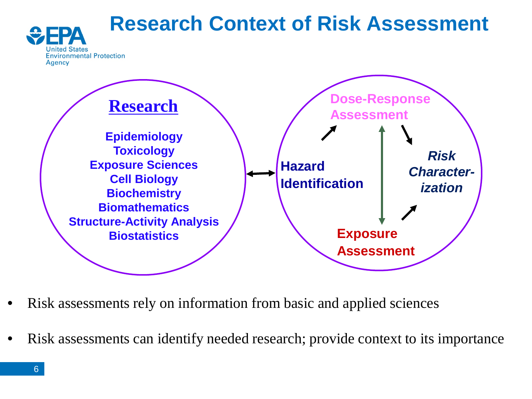## **Research Context of Risk Assessment**





- Risk assessments rely on information from basic and applied sciences
- Risk assessments can identify needed research; provide context to its importance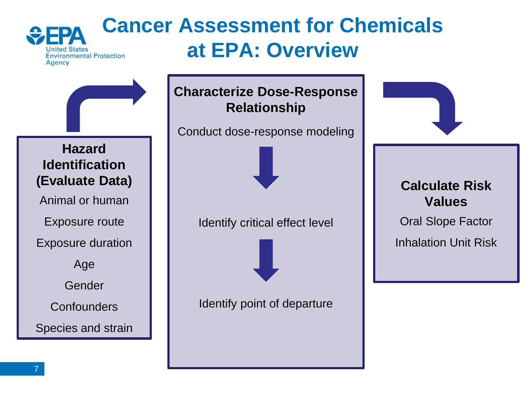#### **Cancer Assessment for Chemicals at EPA: Overview Environmental Protection Agency**

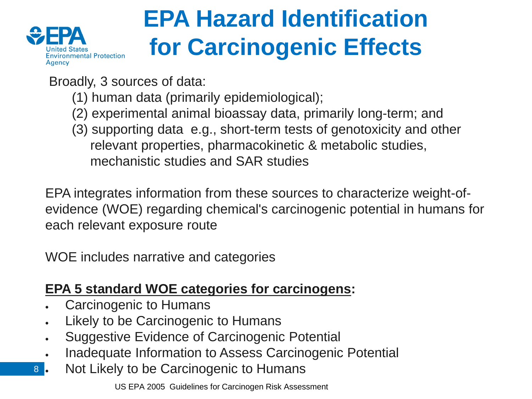

# **EPA Hazard Identification for Carcinogenic Effects**

Broadly, 3 sources of data:

- (1) human data (primarily epidemiological);
- (2) experimental animal bioassay data, primarily long-term; and
- (3) supporting data e.g., short-term tests of genotoxicity and other relevant properties, pharmacokinetic & metabolic studies, mechanistic studies and SAR studies

EPA integrates information from these sources to characterize weight-ofevidence (WOE) regarding chemical's carcinogenic potential in humans for each relevant exposure route

WOE includes narrative and categories

### **EPA 5 standard WOE categories for carcinogens:**

- Carcinogenic to Humans
- Likely to be Carcinogenic to Humans
- Suggestive Evidence of Carcinogenic Potential
- Inadequate Information to Assess Carcinogenic Potential
- 8 . • Not Likely to be Carcinogenic to Humans

US EPA 2005 Guidelines for Carcinogen Risk Assessment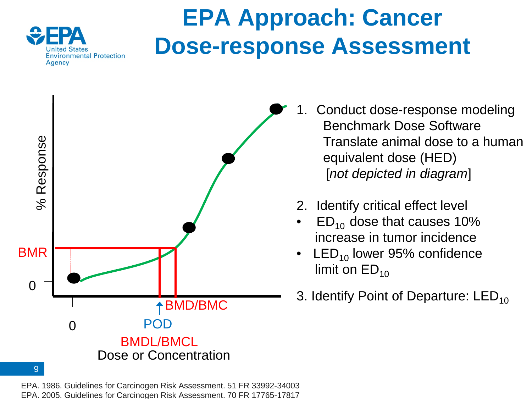

## **EPA Approach: Cancer Dose-response Assessment**



- 1. Conduct dose-response modeling Benchmark Dose Software Translate animal dose to a human equivalent dose (HED) [*not depicted in diagram*]
- 2. Identify critical effect level
- $ED_{10}$  dose that causes 10% increase in tumor incidence
- $LED_{10}$  lower 95% confidence limit on  $ED_{10}$
- 3. Identify Point of Departure:  $LED_{10}$

EPA. 1986. Guidelines for Carcinogen Risk Assessment. 51 FR 33992-34003 EPA. 2005. Guidelines for Carcinogen Risk Assessment. 70 FR 17765-17817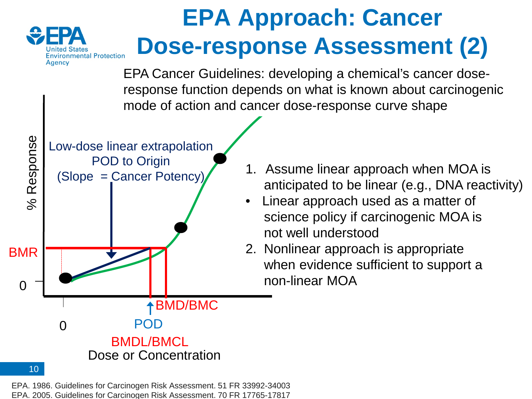

# **EPA Approach: Cancer Dose-response Assessment (2)**

EPA Cancer Guidelines: developing a chemical's cancer doseresponse function depends on what is known about carcinogenic mode of action and cancer dose-response curve shape



- 1. Assume linear approach when MOA is anticipated to be linear (e.g., DNA reactivity)
- Linear approach used as a matter of science policy if carcinogenic MOA is not well understood
- 2. Nonlinear approach is appropriate when evidence sufficient to support a non-linear MOA

#### EPA. 1986. Guidelines for Carcinogen Risk Assessment. 51 FR 33992-34003 EPA. 2005. Guidelines for Carcinogen Risk Assessment. 70 FR 17765-17817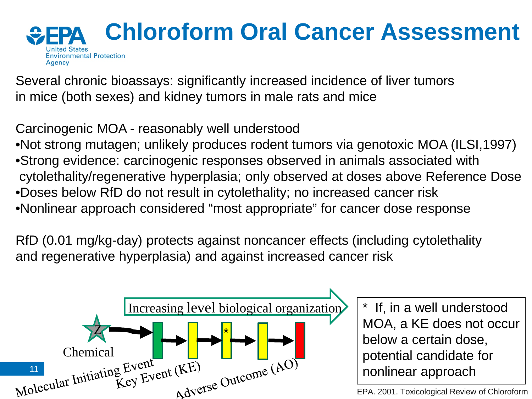

Several chronic bioassays: significantly increased incidence of liver tumors in mice (both sexes) and kidney tumors in male rats and mice

Carcinogenic MOA - reasonably well understood

•Not strong mutagen; unlikely produces rodent tumors via genotoxic MOA (ILSI,1997) •Strong evidence: carcinogenic responses observed in animals associated with cytolethality/regenerative hyperplasia; only observed at doses above Reference Dose •Doses below RfD do not result in cytolethality; no increased cancer risk •Nonlinear approach considered "most appropriate" for cancer dose response

RfD (0.01 mg/kg-day) protects against noncancer effects (including cytolethality and regenerative hyperplasia) and against increased cancer risk



\* If, in a well understood MOA, a KE does not occur below a certain dose, potential candidate for nonlinear approach

EPA. 2001. Toxicological Review of Chloroform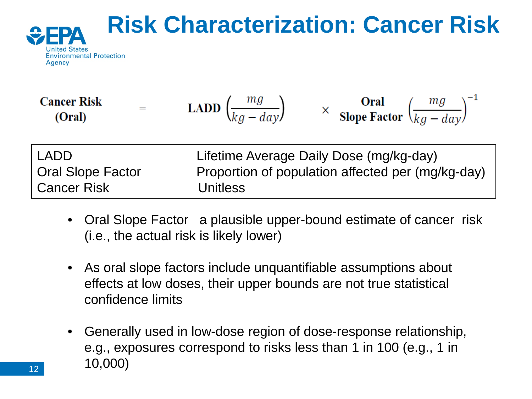

**Cancer Risk**  
(Oral) = **LADD** 
$$
\left(\frac{mg}{kg - day}\right)
$$
  $\times$  **Oral**  
**Slope Factor**  $\left(\frac{mg}{kg - day}\right)^{-1}$ 

| l LADD.           | Lifetime Average Daily Dose (mg/kg-day)           |
|-------------------|---------------------------------------------------|
| Oral Slope Factor | Proportion of population affected per (mg/kg-day) |
| l Cancer Risk     | <b>Unitless</b>                                   |

- Oral Slope Factor a plausible upper-bound estimate of cancer risk (i.e., the actual risk is likely lower)
- As oral slope factors include unquantifiable assumptions about effects at low doses, their upper bounds are not true statistical confidence limits
- Generally used in low-dose region of dose-response relationship, e.g., exposures correspond to risks less than 1 in 100 (e.g., 1 in 10,000)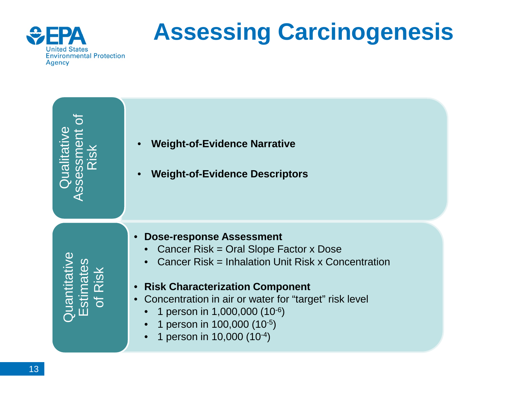

# **Assessing Carcinogenesis**

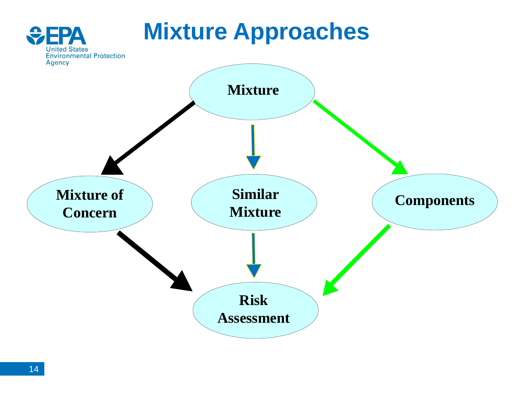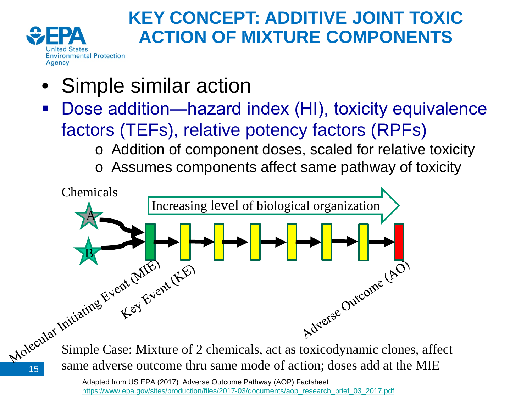

15

## **KEY CONCEPT: ADDITIVE JOINT TOXIC ACTION OF MIXTURE COMPONENTS**

- Simple similar action
- Dose addition—hazard index (HI), toxicity equivalence factors (TEFs), relative potency factors (RPFs)
	- o Addition of component doses, scaled for relative toxicity
	- o Assumes components affect same pathway of toxicity



same adverse outcome thru same mode of action; doses add at the MIE

Adapted from US EPA (2017) Adverse Outcome Pathway (AOP) Factsheet [https://www.epa.gov/sites/production/files/2017-03/documents/aop\\_research\\_brief\\_03\\_2017.pdf](https://www.epa.gov/sites/production/files/2017-03/documents/aop_research_brief_03_2017.pdf)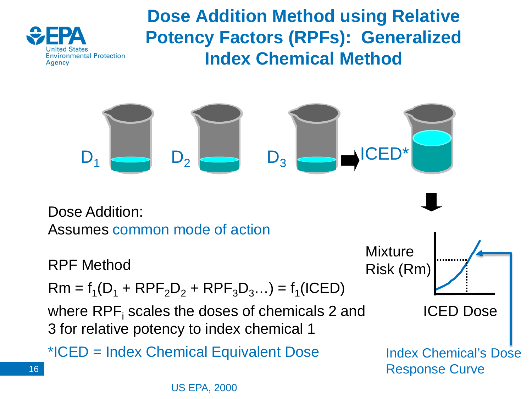

16

**Dose Addition Method using Relative Potency Factors (RPFs): Generalized Index Chemical Method**

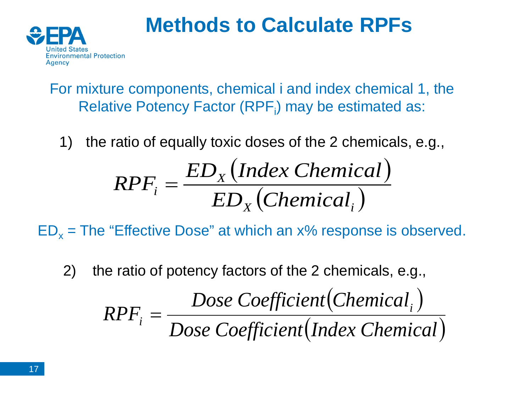

## **Methods to Calculate RPFs**

For mixture components, chemical i and index chemical 1, the Relative Potency Factor (RPF<sub>i</sub>) may be estimated as:

1) the ratio of equally toxic doses of the 2 chemicals, e.g.,

$$
RPF_i = \frac{ED_x \left( Index \; Chemical \right)}{ED_x \left(Chemical \right)}
$$

 $ED_x$  = The "Effective Dose" at which an  $x\%$  response is observed.

2) the ratio of potency factors of the 2 chemicals, e.g.,

$$
RPF_i = \frac{Dose Coefficient(Chemical_i)}{Dose Coefficient(Index Chemical)}
$$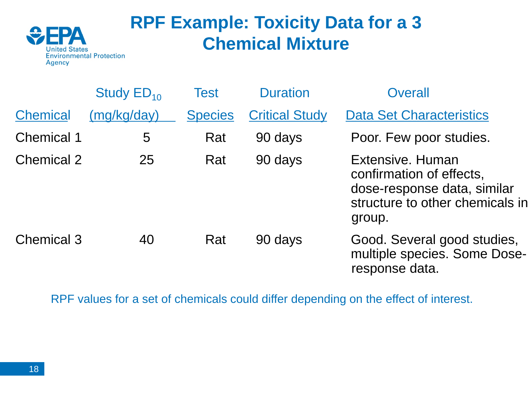

## **RPF Example: Toxicity Data for a 3 Chemical Mixture**

|                   | Study $ED_{10}$ | Test           | <b>Duration</b>       | Overall                                                                                                                  |
|-------------------|-----------------|----------------|-----------------------|--------------------------------------------------------------------------------------------------------------------------|
| <b>Chemical</b>   | (mq/kg/day)     | <b>Species</b> | <b>Critical Study</b> | <b>Data Set Characteristics</b>                                                                                          |
| <b>Chemical 1</b> | 5               | Rat            | 90 days               | Poor. Few poor studies.                                                                                                  |
| <b>Chemical 2</b> | 25              | Rat            | 90 days               | Extensive, Human<br>confirmation of effects,<br>dose-response data, similar<br>structure to other chemicals in<br>group. |
| <b>Chemical 3</b> | 40              | Rat            | 90 days               | Good. Several good studies,<br>multiple species. Some Dose-<br>response data.                                            |

RPF values for a set of chemicals could differ depending on the effect of interest.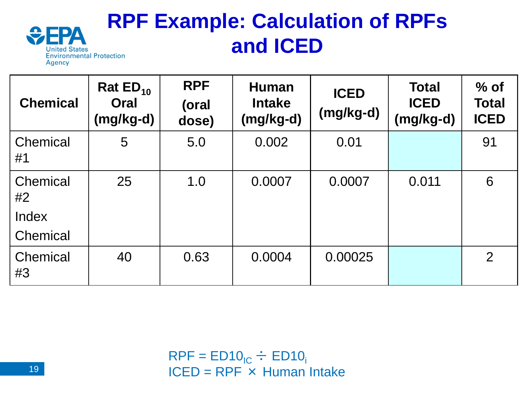#### **RPF Example: Calculation of RPFs**  ДΔ **and ICED United States Environmental Protection** Agency

| <b>Chemical</b>         | Rat $ED_{10}$<br>Oral<br>(mg/kg-d) | <b>RPF</b><br>(oral<br>dose) | <b>Human</b><br><b>Intake</b><br>$(mg/kg-d)$ | <b>ICED</b><br>$(mg/kg-d)$ | <b>Total</b><br><b>ICED</b><br>(mg/kg-d) | $%$ of<br><b>Total</b><br><b>ICED</b> |
|-------------------------|------------------------------------|------------------------------|----------------------------------------------|----------------------------|------------------------------------------|---------------------------------------|
| Chemical<br>#1          | 5                                  | 5.0                          | 0.002                                        | 0.01                       |                                          | 91                                    |
| Chemical<br>#2<br>Index | 25                                 | 1.0                          | 0.0007                                       | 0.0007                     | 0.011                                    | 6                                     |
| Chemical                |                                    |                              |                                              |                            |                                          |                                       |
| Chemical<br>#3          | 40                                 | 0.63                         | 0.0004                                       | 0.00025                    |                                          | $\overline{2}$                        |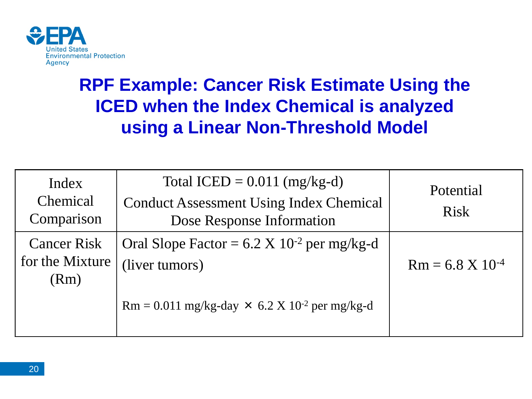

## **RPF Example: Cancer Risk Estimate Using the ICED when the Index Chemical is analyzed using a Linear Non-Threshold Model**

| Index<br>Chemical<br>Comparison               | Total ICED = $0.011$ (mg/kg-d)<br><b>Conduct Assessment Using Index Chemical</b><br>Dose Response Information | Potential<br><b>Risk</b>      |
|-----------------------------------------------|---------------------------------------------------------------------------------------------------------------|-------------------------------|
| <b>Cancer Risk</b><br>for the Mixture<br>(Rm) | Oral Slope Factor = $6.2 \text{ X } 10^{-2}$ per mg/kg-d<br>(liver tumors)                                    | $Rm = 6.8 \text{ X } 10^{-4}$ |
|                                               | $Rm = 0.011$ mg/kg-day $\times 6.2$ X 10 <sup>-2</sup> per mg/kg-d                                            |                               |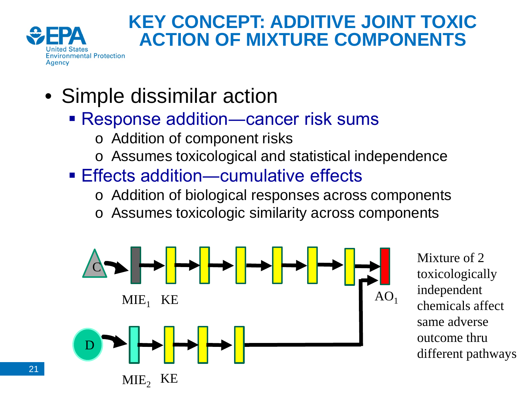

### **KEY CONCEPT: ADDITIVE JOINT TOXIC ACTION OF MIXTURE COMPONENTS**

- Simple dissimilar action
	- Response addition—cancer risk sums
		- o Addition of component risks
		- o Assumes toxicological and statistical independence
	- Effects addition—cumulative effects
		- o Addition of biological responses across components
		- o Assumes toxicologic similarity across components



Mixture of 2 toxicologically independent chemicals affect same adverse outcome thru different pathways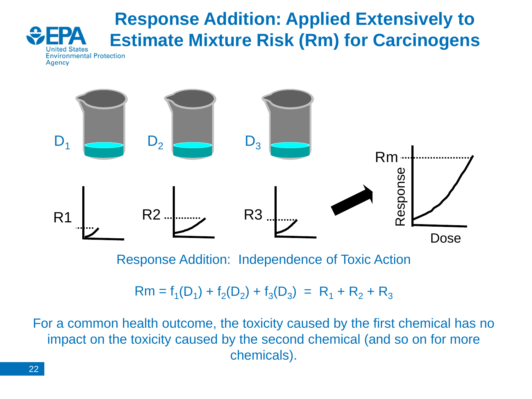### **Response Addition: Applied Extensively to Estimate Mixture Risk (Rm) for Carcinogens Environmental Protection**



Response Addition: Independence of Toxic Action

### $Rm = f_1(D_1) + f_2(D_2) + f_3(D_3) = R_1 + R_2 + R_3$

For a common health outcome, the toxicity caused by the first chemical has no impact on the toxicity caused by the second chemical (and so on for more chemicals).

**Agency**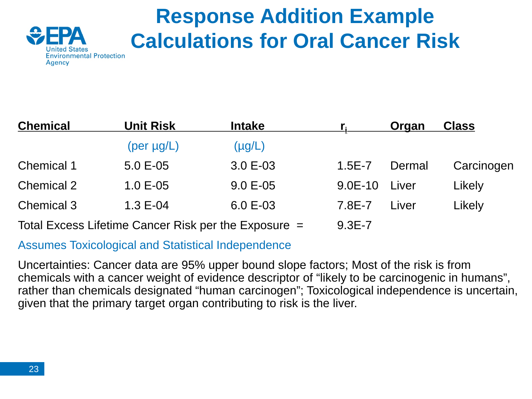

## **Response Addition Example Calculations for Oral Cancer Risk**

| <b>Chemical</b>   | <b>Unit Risk</b>                                       | <b>Intake</b> |            | Organ  | <b>Class</b> |
|-------------------|--------------------------------------------------------|---------------|------------|--------|--------------|
|                   | $(\text{per }\mu\text{g}/\text{L})$                    | $(\mu g/L)$   |            |        |              |
| <b>Chemical 1</b> | $5.0 E - 05$                                           | $3.0 E-03$    | $1.5E - 7$ | Dermal | Carcinogen   |
| <b>Chemical 2</b> | $1.0 E - 05$                                           | $9.0 E - 05$  | $9.0E-10$  | Liver  | Likely       |
| <b>Chemical 3</b> | $1.3E - 04$                                            | 6.0 E-03      | 7.8E-7     | Liver  | Likely       |
|                   | Total Excess Lifetime Cancer Risk per the Exposure $=$ |               | $9.3E - 7$ |        |              |

### Assumes Toxicological and Statistical Independence

Uncertainties: Cancer data are 95% upper bound slope factors; Most of the risk is from chemicals with a cancer weight of evidence descriptor of "likely to be carcinogenic in humans", rather than chemicals designated "human carcinogen"; Toxicological independence is uncertain, given that the primary target organ contributing to risk is the liver.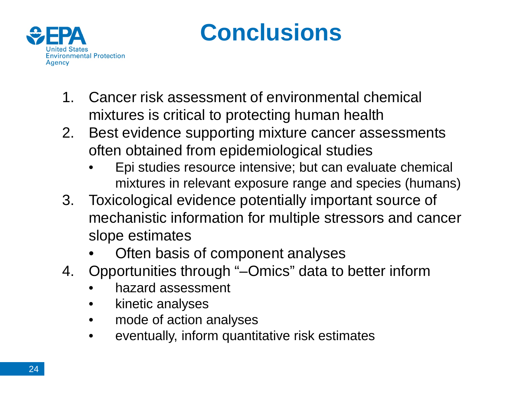

## **Conclusions**

- 1. Cancer risk assessment of environmental chemical mixtures is critical to protecting human health
- 2. Best evidence supporting mixture cancer assessments often obtained from epidemiological studies
	- Epi studies resource intensive; but can evaluate chemical mixtures in relevant exposure range and species (humans)
- 3. Toxicological evidence potentially important source of mechanistic information for multiple stressors and cancer slope estimates
	- Often basis of component analyses
- 4. Opportunities through "–Omics" data to better inform
	- hazard assessment
	- kinetic analyses
	- mode of action analyses
	- eventually, inform quantitative risk estimates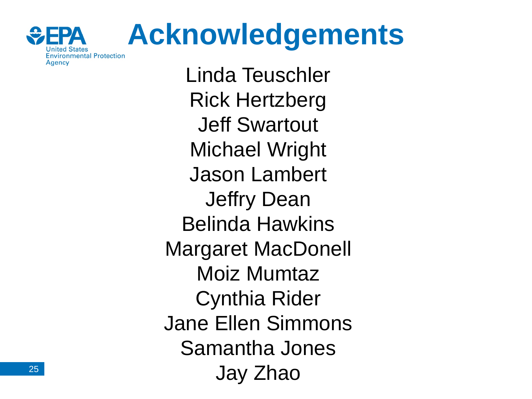

# **Acknowledgements**

Linda Teuschler Rick Hertzberg Jeff Swartout Michael Wright Jason Lambert Jeffry Dean Belinda Hawkins Margaret MacDonell Moiz Mumtaz Cynthia Rider Jane Ellen Simmons Samantha Jones Jay Zhao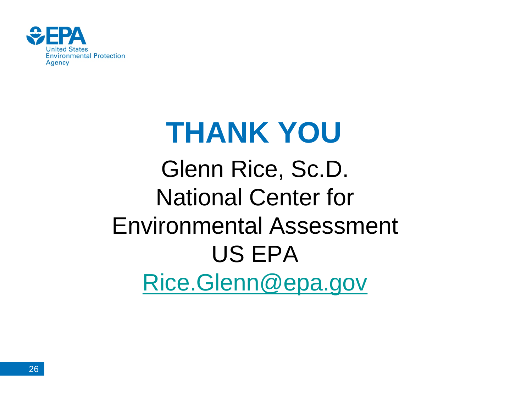

# **THANK YOU**

Glenn Rice, Sc.D. National Center for Environmental Assessment US EPA [Rice.Glenn@epa.gov](mailto:Rice.Glenn@epa.gov)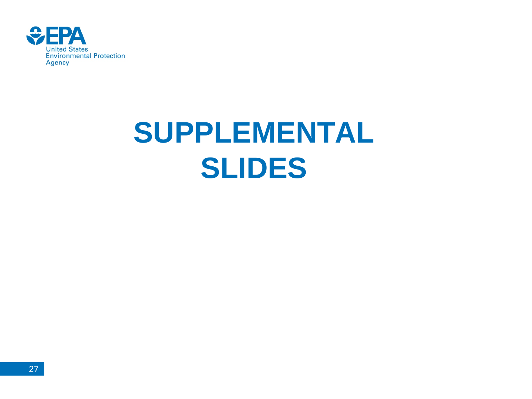

# **SUPPLEMENTAL SLIDES**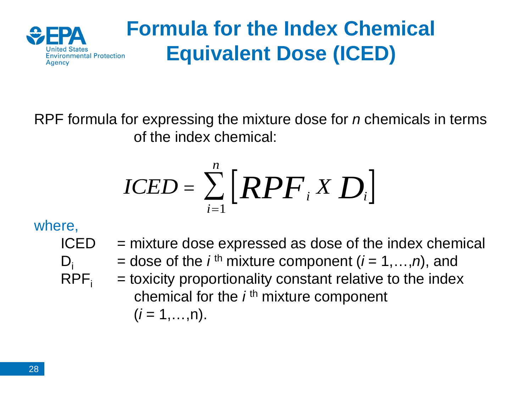

## **Formula for the Index Chemical Equivalent Dose (ICED)**

RPF formula for expressing the mixture dose for *n* chemicals in terms of the index chemical:

$$
ICED = \sum_{i=1}^{n} [RPF_i \times D_i]
$$

### where,

 $ICED$  = mixture dose expressed as dose of the index chemical  $D_i$  = dose of the *i*<sup>th</sup> mixture component (*i* = 1,...,*n*), and<br>RPF<sub>i</sub> = toxicity proportionality constant relative to the index  $=$  toxicity proportionality constant relative to the index chemical for the *i* th mixture component  $(i = 1, \ldots, n)$ .